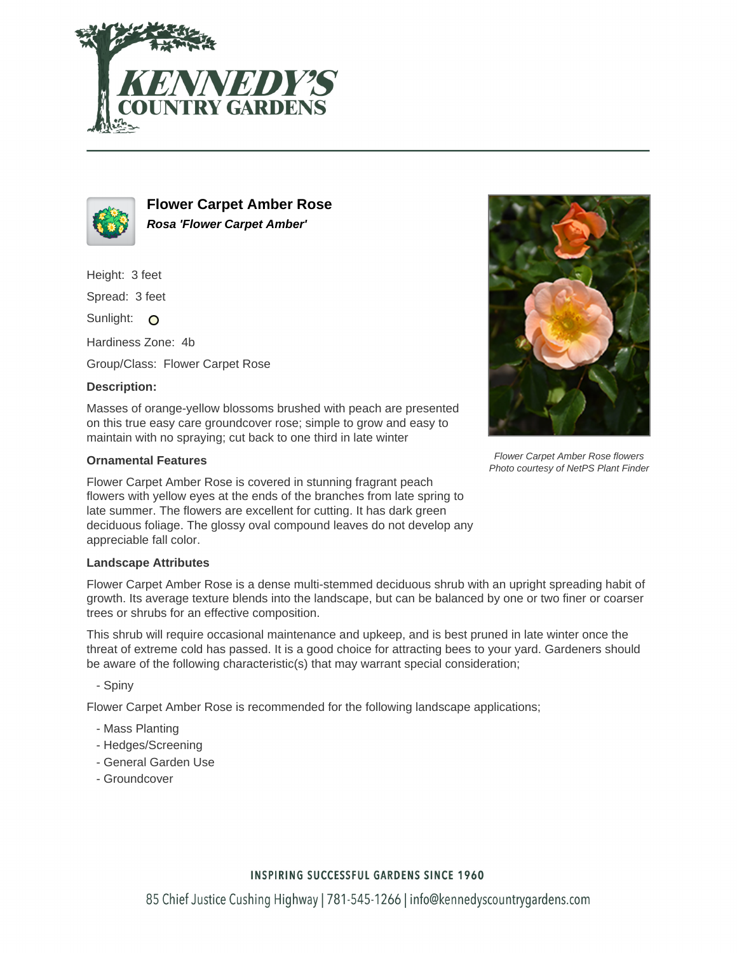



**Flower Carpet Amber Rose Rosa 'Flower Carpet Amber'**

Height: 3 feet

Spread: 3 feet

Sunlight: O

Hardiness Zone: 4b

Group/Class: Flower Carpet Rose

### **Description:**

Masses of orange-yellow blossoms brushed with peach are presented on this true easy care groundcover rose; simple to grow and easy to maintain with no spraying; cut back to one third in late winter

### **Ornamental Features**

Flower Carpet Amber Rose is covered in stunning fragrant peach flowers with yellow eyes at the ends of the branches from late spring to late summer. The flowers are excellent for cutting. It has dark green deciduous foliage. The glossy oval compound leaves do not develop any appreciable fall color.

### **Landscape Attributes**

Flower Carpet Amber Rose is a dense multi-stemmed deciduous shrub with an upright spreading habit of growth. Its average texture blends into the landscape, but can be balanced by one or two finer or coarser trees or shrubs for an effective composition.

This shrub will require occasional maintenance and upkeep, and is best pruned in late winter once the threat of extreme cold has passed. It is a good choice for attracting bees to your yard. Gardeners should be aware of the following characteristic(s) that may warrant special consideration;

- Spiny

Flower Carpet Amber Rose is recommended for the following landscape applications;

- Mass Planting
- Hedges/Screening
- General Garden Use
- Groundcover



Flower Carpet Amber Rose flowers Photo courtesy of NetPS Plant Finder

## **INSPIRING SUCCESSFUL GARDENS SINCE 1960**